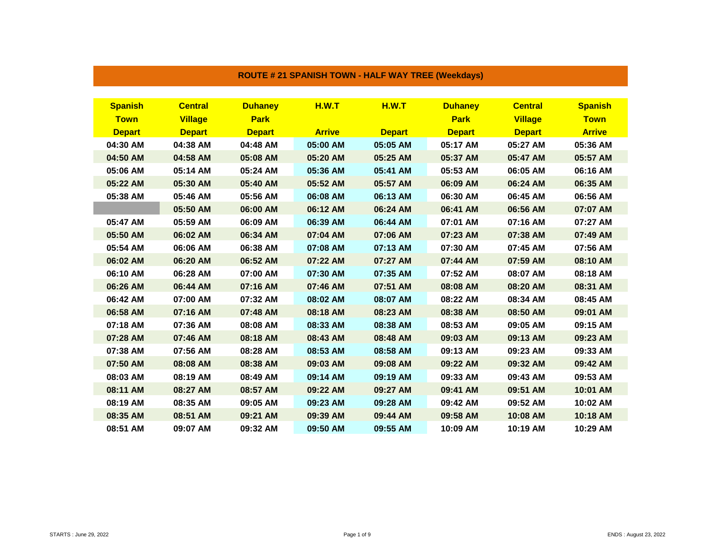| <b>Spanish</b> | <b>Central</b> | <b>Duhaney</b> | H.W.T         | <b>H.W.T</b>  | <b>Duhaney</b> | <b>Central</b> | <b>Spanish</b> |
|----------------|----------------|----------------|---------------|---------------|----------------|----------------|----------------|
| <b>Town</b>    | <b>Village</b> | <b>Park</b>    |               |               | <b>Park</b>    | <b>Village</b> | <b>Town</b>    |
| <b>Depart</b>  | <b>Depart</b>  | <b>Depart</b>  | <b>Arrive</b> | <b>Depart</b> | <b>Depart</b>  | <b>Depart</b>  | <b>Arrive</b>  |
| 04:30 AM       | 04:38 AM       | 04:48 AM       | 05:00 AM      | 05:05 AM      | 05:17 AM       | 05:27 AM       | 05:36 AM       |
| 04:50 AM       | 04:58 AM       | 05:08 AM       | 05:20 AM      | 05:25 AM      | 05:37 AM       | 05:47 AM       | 05:57 AM       |
| 05:06 AM       | 05:14 AM       | 05:24 AM       | 05:36 AM      | 05:41 AM      | 05:53 AM       | 06:05 AM       | 06:16 AM       |
| 05:22 AM       | 05:30 AM       | 05:40 AM       | 05:52 AM      | 05:57 AM      | 06:09 AM       | 06:24 AM       | 06:35 AM       |
| 05:38 AM       | 05:46 AM       | 05:56 AM       | 06:08 AM      | 06:13 AM      | 06:30 AM       | 06:45 AM       | 06:56 AM       |
|                | 05:50 AM       | 06:00 AM       | 06:12 AM      | 06:24 AM      | 06:41 AM       | 06:56 AM       | 07:07 AM       |
| 05:47 AM       | 05:59 AM       | 06:09 AM       | 06:39 AM      | 06:44 AM      | 07:01 AM       | 07:16 AM       | 07:27 AM       |
| 05:50 AM       | 06:02 AM       | 06:34 AM       | 07:04 AM      | 07:06 AM      | 07:23 AM       | 07:38 AM       | 07:49 AM       |
| 05:54 AM       | 06:06 AM       | 06:38 AM       | 07:08 AM      | 07:13 AM      | 07:30 AM       | 07:45 AM       | 07:56 AM       |
| 06:02 AM       | 06:20 AM       | 06:52 AM       | 07:22 AM      | 07:27 AM      | 07:44 AM       | 07:59 AM       | 08:10 AM       |
| 06:10 AM       | 06:28 AM       | 07:00 AM       | 07:30 AM      | 07:35 AM      | 07:52 AM       | 08:07 AM       | 08:18 AM       |
| 06:26 AM       | 06:44 AM       | 07:16 AM       | 07:46 AM      | 07:51 AM      | 08:08 AM       | 08:20 AM       | 08:31 AM       |
| 06:42 AM       | 07:00 AM       | 07:32 AM       | 08:02 AM      | 08:07 AM      | 08:22 AM       | 08:34 AM       | 08:45 AM       |
| 06:58 AM       | 07:16 AM       | 07:48 AM       | 08:18 AM      | 08:23 AM      | 08:38 AM       | 08:50 AM       | 09:01 AM       |
| 07:18 AM       | 07:36 AM       | 08:08 AM       | 08:33 AM      | 08:38 AM      | 08:53 AM       | 09:05 AM       | 09:15 AM       |
| 07:28 AM       | 07:46 AM       | 08:18 AM       | 08:43 AM      | 08:48 AM      | 09:03 AM       | 09:13 AM       | 09:23 AM       |
| 07:38 AM       | 07:56 AM       | 08:28 AM       | 08:53 AM      | 08:58 AM      | 09:13 AM       | 09:23 AM       | 09:33 AM       |
| 07:50 AM       | 08:08 AM       | 08:38 AM       | 09:03 AM      | 09:08 AM      | 09:22 AM       | 09:32 AM       | 09:42 AM       |
| 08:03 AM       | 08:19 AM       | 08:49 AM       | 09:14 AM      | 09:19 AM      | 09:33 AM       | 09:43 AM       | 09:53 AM       |
| 08:11 AM       | 08:27 AM       | 08:57 AM       | 09:22 AM      | 09:27 AM      | 09:41 AM       | 09:51 AM       | 10:01 AM       |
| 08:19 AM       | 08:35 AM       | 09:05 AM       | 09:23 AM      | 09:28 AM      | 09:42 AM       | 09:52 AM       | 10:02 AM       |
| 08:35 AM       | 08:51 AM       | 09:21 AM       | 09:39 AM      | 09:44 AM      | 09:58 AM       | 10:08 AM       | 10:18 AM       |
| 08:51 AM       | 09:07 AM       | 09:32 AM       | 09:50 AM      | 09:55 AM      | 10:09 AM       | 10:19 AM       | 10:29 AM       |

## **ROUTE # 21 SPANISH TOWN - HALF WAY TREE (Weekdays)**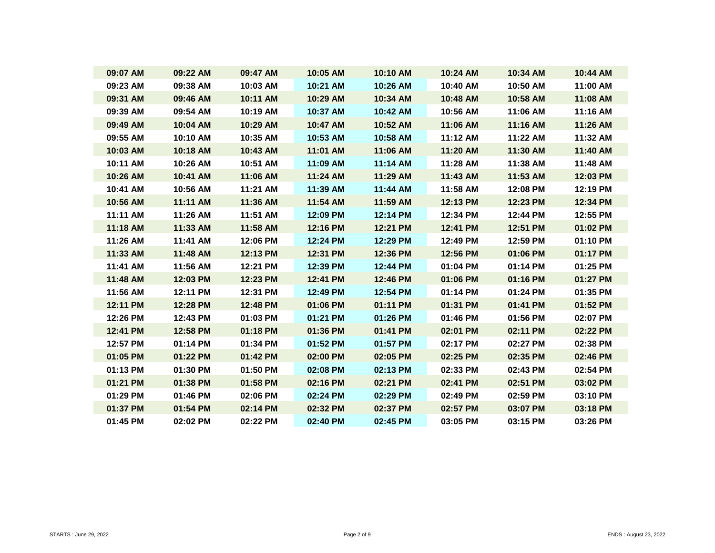| 09:07 AM | 09:22 AM | 09:47 AM | 10:05 AM | 10:10 AM | 10:24 AM | 10:34 AM | 10:44 AM |
|----------|----------|----------|----------|----------|----------|----------|----------|
| 09:23 AM | 09:38 AM | 10:03 AM | 10:21 AM | 10:26 AM | 10:40 AM | 10:50 AM | 11:00 AM |
| 09:31 AM | 09:46 AM | 10:11 AM | 10:29 AM | 10:34 AM | 10:48 AM | 10:58 AM | 11:08 AM |
| 09:39 AM | 09:54 AM | 10:19 AM | 10:37 AM | 10:42 AM | 10:56 AM | 11:06 AM | 11:16 AM |
| 09:49 AM | 10:04 AM | 10:29 AM | 10:47 AM | 10:52 AM | 11:06 AM | 11:16 AM | 11:26 AM |
| 09:55 AM | 10:10 AM | 10:35 AM | 10:53 AM | 10:58 AM | 11:12 AM | 11:22 AM | 11:32 AM |
| 10:03 AM | 10:18 AM | 10:43 AM | 11:01 AM | 11:06 AM | 11:20 AM | 11:30 AM | 11:40 AM |
| 10:11 AM | 10:26 AM | 10:51 AM | 11:09 AM | 11:14 AM | 11:28 AM | 11:38 AM | 11:48 AM |
| 10:26 AM | 10:41 AM | 11:06 AM | 11:24 AM | 11:29 AM | 11:43 AM | 11:53 AM | 12:03 PM |
| 10:41 AM | 10:56 AM | 11:21 AM | 11:39 AM | 11:44 AM | 11:58 AM | 12:08 PM | 12:19 PM |
| 10:56 AM | 11:11 AM | 11:36 AM | 11:54 AM | 11:59 AM | 12:13 PM | 12:23 PM | 12:34 PM |
| 11:11 AM | 11:26 AM | 11:51 AM | 12:09 PM | 12:14 PM | 12:34 PM | 12:44 PM | 12:55 PM |
| 11:18 AM | 11:33 AM | 11:58 AM | 12:16 PM | 12:21 PM | 12:41 PM | 12:51 PM | 01:02 PM |
| 11:26 AM | 11:41 AM | 12:06 PM | 12:24 PM | 12:29 PM | 12:49 PM | 12:59 PM | 01:10 PM |
| 11:33 AM | 11:48 AM | 12:13 PM | 12:31 PM | 12:36 PM | 12:56 PM | 01:06 PM | 01:17 PM |
| 11:41 AM | 11:56 AM | 12:21 PM | 12:39 PM | 12:44 PM | 01:04 PM | 01:14 PM | 01:25 PM |
| 11:48 AM | 12:03 PM | 12:23 PM | 12:41 PM | 12:46 PM | 01:06 PM | 01:16 PM | 01:27 PM |
| 11:56 AM | 12:11 PM | 12:31 PM | 12:49 PM | 12:54 PM | 01:14 PM | 01:24 PM | 01:35 PM |
| 12:11 PM | 12:28 PM | 12:48 PM | 01:06 PM | 01:11 PM | 01:31 PM | 01:41 PM | 01:52 PM |
| 12:26 PM | 12:43 PM | 01:03 PM | 01:21 PM | 01:26 PM | 01:46 PM | 01:56 PM | 02:07 PM |
| 12:41 PM | 12:58 PM | 01:18 PM | 01:36 PM | 01:41 PM | 02:01 PM | 02:11 PM | 02:22 PM |
| 12:57 PM | 01:14 PM | 01:34 PM | 01:52 PM | 01:57 PM | 02:17 PM | 02:27 PM | 02:38 PM |
| 01:05 PM | 01:22 PM | 01:42 PM | 02:00 PM | 02:05 PM | 02:25 PM | 02:35 PM | 02:46 PM |
| 01:13 PM | 01:30 PM | 01:50 PM | 02:08 PM | 02:13 PM | 02:33 PM | 02:43 PM | 02:54 PM |
| 01:21 PM | 01:38 PM | 01:58 PM | 02:16 PM | 02:21 PM | 02:41 PM | 02:51 PM | 03:02 PM |
| 01:29 PM | 01:46 PM | 02:06 PM | 02:24 PM | 02:29 PM | 02:49 PM | 02:59 PM | 03:10 PM |
| 01:37 PM | 01:54 PM | 02:14 PM | 02:32 PM | 02:37 PM | 02:57 PM | 03:07 PM | 03:18 PM |
| 01:45 PM | 02:02 PM | 02:22 PM | 02:40 PM | 02:45 PM | 03:05 PM | 03:15 PM | 03:26 PM |
|          |          |          |          |          |          |          |          |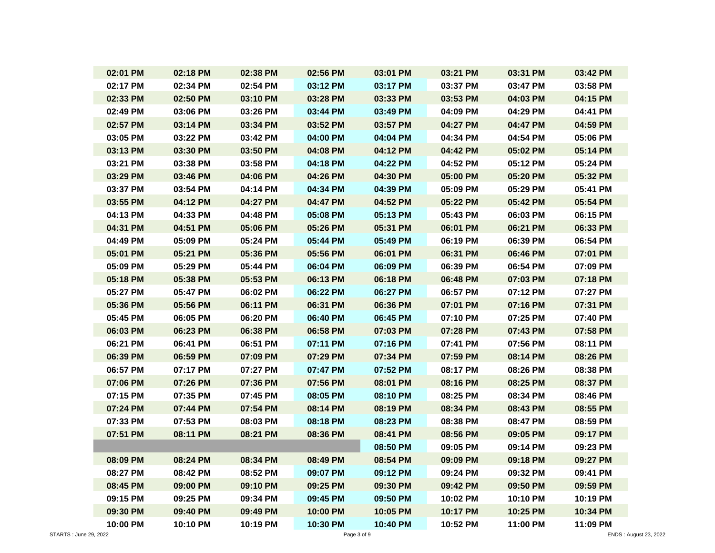| 02:01 PM | 02:18 PM | 02:38 PM | 02:56 PM | 03:01 PM | 03:21 PM | 03:31 PM | 03:42 PM |
|----------|----------|----------|----------|----------|----------|----------|----------|
| 02:17 PM | 02:34 PM | 02:54 PM | 03:12 PM | 03:17 PM | 03:37 PM | 03:47 PM | 03:58 PM |
| 02:33 PM | 02:50 PM | 03:10 PM | 03:28 PM | 03:33 PM | 03:53 PM | 04:03 PM | 04:15 PM |
| 02:49 PM | 03:06 PM | 03:26 PM | 03:44 PM | 03:49 PM | 04:09 PM | 04:29 PM | 04:41 PM |
| 02:57 PM | 03:14 PM | 03:34 PM | 03:52 PM | 03:57 PM | 04:27 PM | 04:47 PM | 04:59 PM |
| 03:05 PM | 03:22 PM | 03:42 PM | 04:00 PM | 04:04 PM | 04:34 PM | 04:54 PM | 05:06 PM |
| 03:13 PM | 03:30 PM | 03:50 PM | 04:08 PM | 04:12 PM | 04:42 PM | 05:02 PM | 05:14 PM |
| 03:21 PM | 03:38 PM | 03:58 PM | 04:18 PM | 04:22 PM | 04:52 PM | 05:12 PM | 05:24 PM |
| 03:29 PM | 03:46 PM | 04:06 PM | 04:26 PM | 04:30 PM | 05:00 PM | 05:20 PM | 05:32 PM |
| 03:37 PM | 03:54 PM | 04:14 PM | 04:34 PM | 04:39 PM | 05:09 PM | 05:29 PM | 05:41 PM |
| 03:55 PM | 04:12 PM | 04:27 PM | 04:47 PM | 04:52 PM | 05:22 PM | 05:42 PM | 05:54 PM |
| 04:13 PM | 04:33 PM | 04:48 PM | 05:08 PM | 05:13 PM | 05:43 PM | 06:03 PM | 06:15 PM |
| 04:31 PM | 04:51 PM | 05:06 PM | 05:26 PM | 05:31 PM | 06:01 PM | 06:21 PM | 06:33 PM |
| 04:49 PM | 05:09 PM | 05:24 PM | 05:44 PM | 05:49 PM | 06:19 PM | 06:39 PM | 06:54 PM |
| 05:01 PM | 05:21 PM | 05:36 PM | 05:56 PM | 06:01 PM | 06:31 PM | 06:46 PM | 07:01 PM |
| 05:09 PM | 05:29 PM | 05:44 PM | 06:04 PM | 06:09 PM | 06:39 PM | 06:54 PM | 07:09 PM |
| 05:18 PM | 05:38 PM | 05:53 PM | 06:13 PM | 06:18 PM | 06:48 PM | 07:03 PM | 07:18 PM |
| 05:27 PM | 05:47 PM | 06:02 PM | 06:22 PM | 06:27 PM | 06:57 PM | 07:12 PM | 07:27 PM |
| 05:36 PM | 05:56 PM | 06:11 PM | 06:31 PM | 06:36 PM | 07:01 PM | 07:16 PM | 07:31 PM |
| 05:45 PM | 06:05 PM | 06:20 PM | 06:40 PM | 06:45 PM | 07:10 PM | 07:25 PM | 07:40 PM |
| 06:03 PM | 06:23 PM | 06:38 PM | 06:58 PM | 07:03 PM | 07:28 PM | 07:43 PM | 07:58 PM |
| 06:21 PM | 06:41 PM | 06:51 PM | 07:11 PM | 07:16 PM | 07:41 PM | 07:56 PM | 08:11 PM |
| 06:39 PM | 06:59 PM | 07:09 PM | 07:29 PM | 07:34 PM | 07:59 PM | 08:14 PM | 08:26 PM |
| 06:57 PM | 07:17 PM | 07:27 PM | 07:47 PM | 07:52 PM | 08:17 PM | 08:26 PM | 08:38 PM |
| 07:06 PM | 07:26 PM | 07:36 PM | 07:56 PM | 08:01 PM | 08:16 PM | 08:25 PM | 08:37 PM |
| 07:15 PM | 07:35 PM | 07:45 PM | 08:05 PM | 08:10 PM | 08:25 PM | 08:34 PM | 08:46 PM |
| 07:24 PM | 07:44 PM | 07:54 PM | 08:14 PM | 08:19 PM | 08:34 PM | 08:43 PM | 08:55 PM |
| 07:33 PM | 07:53 PM | 08:03 PM | 08:18 PM | 08:23 PM | 08:38 PM | 08:47 PM | 08:59 PM |
| 07:51 PM | 08:11 PM | 08:21 PM | 08:36 PM | 08:41 PM | 08:56 PM | 09:05 PM | 09:17 PM |
|          |          |          |          | 08:50 PM | 09:05 PM | 09:14 PM | 09:23 PM |
| 08:09 PM | 08:24 PM | 08:34 PM | 08:49 PM | 08:54 PM | 09:09 PM | 09:18 PM | 09:27 PM |
| 08:27 PM | 08:42 PM | 08:52 PM | 09:07 PM | 09:12 PM | 09:24 PM | 09:32 PM | 09:41 PM |
| 08:45 PM | 09:00 PM | 09:10 PM | 09:25 PM | 09:30 PM | 09:42 PM | 09:50 PM | 09:59 PM |
| 09:15 PM | 09:25 PM | 09:34 PM | 09:45 PM | 09:50 PM | 10:02 PM | 10:10 PM | 10:19 PM |
| 09:30 PM | 09:40 PM | 09:49 PM | 10:00 PM | 10:05 PM | 10:17 PM | 10:25 PM | 10:34 PM |
| 10:00 PM | 10:10 PM | 10:19 PM | 10:30 PM | 10:40 PM | 10:52 PM | 11:00 PM | 11:09 PM |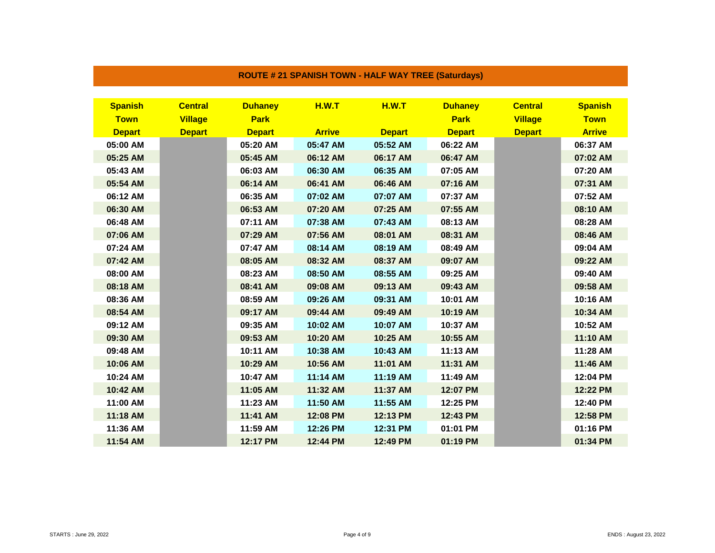| <b>Spanish</b> | <b>Central</b> | <b>Duhaney</b> | <b>H.W.T</b>  | H.W.T         | <b>Duhaney</b> | <b>Central</b> | <b>Spanish</b> |
|----------------|----------------|----------------|---------------|---------------|----------------|----------------|----------------|
| <b>Town</b>    | <b>Village</b> | <b>Park</b>    |               |               | <b>Park</b>    | <b>Village</b> | <b>Town</b>    |
| <b>Depart</b>  | <b>Depart</b>  | <b>Depart</b>  | <b>Arrive</b> | <b>Depart</b> | <b>Depart</b>  | <b>Depart</b>  | <b>Arrive</b>  |
| 05:00 AM       |                | 05:20 AM       | 05:47 AM      | 05:52 AM      | 06:22 AM       |                | 06:37 AM       |
| 05:25 AM       |                | 05:45 AM       | 06:12 AM      | 06:17 AM      | 06:47 AM       |                | 07:02 AM       |
| 05:43 AM       |                | 06:03 AM       | 06:30 AM      | 06:35 AM      | 07:05 AM       |                | 07:20 AM       |
| 05:54 AM       |                | 06:14 AM       | 06:41 AM      | 06:46 AM      | 07:16 AM       |                | 07:31 AM       |
| 06:12 AM       |                | 06:35 AM       | 07:02 AM      | 07:07 AM      | 07:37 AM       |                | 07:52 AM       |
| 06:30 AM       |                | 06:53 AM       | 07:20 AM      | 07:25 AM      | 07:55 AM       |                | 08:10 AM       |
| 06:48 AM       |                | 07:11 AM       | 07:38 AM      | 07:43 AM      | 08:13 AM       |                | 08:28 AM       |
| 07:06 AM       |                | 07:29 AM       | 07:56 AM      | 08:01 AM      | 08:31 AM       |                | 08:46 AM       |
| 07:24 AM       |                | 07:47 AM       | 08:14 AM      | 08:19 AM      | 08:49 AM       |                | 09:04 AM       |
| 07:42 AM       |                | 08:05 AM       | 08:32 AM      | 08:37 AM      | 09:07 AM       |                | 09:22 AM       |
| 08:00 AM       |                | 08:23 AM       | 08:50 AM      | 08:55 AM      | 09:25 AM       |                | 09:40 AM       |
| 08:18 AM       |                | 08:41 AM       | 09:08 AM      | 09:13 AM      | 09:43 AM       |                | 09:58 AM       |
| 08:36 AM       |                | 08:59 AM       | 09:26 AM      | 09:31 AM      | 10:01 AM       |                | 10:16 AM       |
| 08:54 AM       |                | 09:17 AM       | 09:44 AM      | 09:49 AM      | 10:19 AM       |                | 10:34 AM       |
| 09:12 AM       |                | 09:35 AM       | 10:02 AM      | 10:07 AM      | 10:37 AM       |                | 10:52 AM       |
| 09:30 AM       |                | 09:53 AM       | 10:20 AM      | 10:25 AM      | 10:55 AM       |                | 11:10 AM       |
| 09:48 AM       |                | 10:11 AM       | 10:38 AM      | 10:43 AM      | 11:13 AM       |                | 11:28 AM       |
| 10:06 AM       |                | 10:29 AM       | 10:56 AM      | 11:01 AM      | 11:31 AM       |                | 11:46 AM       |
| 10:24 AM       |                | 10:47 AM       | 11:14 AM      | 11:19 AM      | 11:49 AM       |                | 12:04 PM       |
| 10:42 AM       |                | 11:05 AM       | 11:32 AM      | 11:37 AM      | 12:07 PM       |                | 12:22 PM       |
| 11:00 AM       |                | 11:23 AM       | 11:50 AM      | 11:55 AM      | 12:25 PM       |                | 12:40 PM       |
| 11:18 AM       |                | 11:41 AM       | 12:08 PM      | 12:13 PM      | 12:43 PM       |                | 12:58 PM       |
| 11:36 AM       |                | 11:59 AM       | 12:26 PM      | 12:31 PM      | 01:01 PM       |                | 01:16 PM       |
| 11:54 AM       |                | 12:17 PM       | 12:44 PM      | 12:49 PM      | 01:19 PM       |                | 01:34 PM       |

## **ROUTE # 21 SPANISH TOWN - HALF WAY TREE (Saturdays)**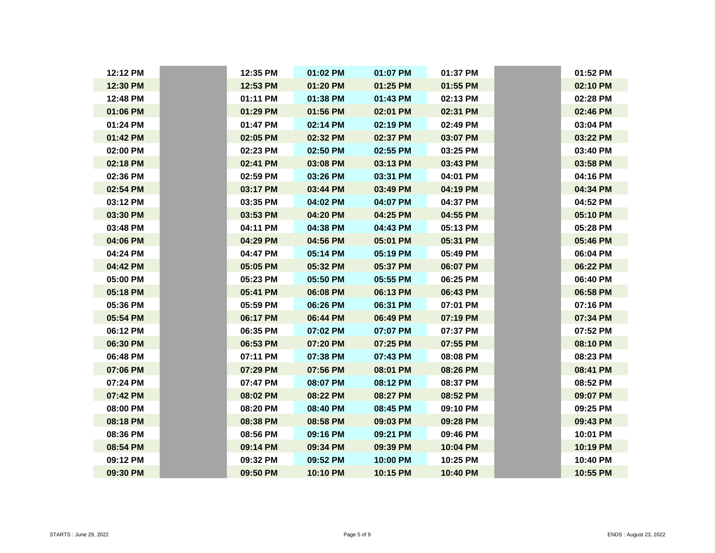| 12:12 PM | 12:35 PM | 01:02 PM | 01:07 PM | 01:37 PM |
|----------|----------|----------|----------|----------|
| 12:30 PM | 12:53 PM | 01:20 PM | 01:25 PM | 01:55 PM |
| 12:48 PM | 01:11 PM | 01:38 PM | 01:43 PM | 02:13 PM |
| 01:06 PM | 01:29 PM | 01:56 PM | 02:01 PM | 02:31 PM |
| 01:24 PM | 01:47 PM | 02:14 PM | 02:19 PM | 02:49 PM |
| 01:42 PM | 02:05 PM | 02:32 PM | 02:37 PM | 03:07 PM |
| 02:00 PM | 02:23 PM | 02:50 PM | 02:55 PM | 03:25 PM |
| 02:18 PM | 02:41 PM | 03:08 PM | 03:13 PM | 03:43 PM |
| 02:36 PM | 02:59 PM | 03:26 PM | 03:31 PM | 04:01 PM |
| 02:54 PM | 03:17 PM | 03:44 PM | 03:49 PM | 04:19 PM |
| 03:12 PM | 03:35 PM | 04:02 PM | 04:07 PM | 04:37 PM |
| 03:30 PM | 03:53 PM | 04:20 PM | 04:25 PM | 04:55 PM |
| 03:48 PM | 04:11 PM | 04:38 PM | 04:43 PM | 05:13 PM |
| 04:06 PM | 04:29 PM | 04:56 PM | 05:01 PM | 05:31 PM |
| 04:24 PM | 04:47 PM | 05:14 PM | 05:19 PM | 05:49 PM |
| 04:42 PM | 05:05 PM | 05:32 PM | 05:37 PM | 06:07 PM |
| 05:00 PM | 05:23 PM | 05:50 PM | 05:55 PM | 06:25 PM |
| 05:18 PM | 05:41 PM | 06:08 PM | 06:13 PM | 06:43 PM |
| 05:36 PM | 05:59 PM | 06:26 PM | 06:31 PM | 07:01 PM |
| 05:54 PM | 06:17 PM | 06:44 PM | 06:49 PM | 07:19 PM |
| 06:12 PM | 06:35 PM | 07:02 PM | 07:07 PM | 07:37 PM |
| 06:30 PM | 06:53 PM | 07:20 PM | 07:25 PM | 07:55 PM |
| 06:48 PM | 07:11 PM | 07:38 PM | 07:43 PM | 08:08 PM |
| 07:06 PM | 07:29 PM | 07:56 PM | 08:01 PM | 08:26 PM |
| 07:24 PM | 07:47 PM | 08:07 PM | 08:12 PM | 08:37 PM |
| 07:42 PM | 08:02 PM | 08:22 PM | 08:27 PM | 08:52 PM |
| 08:00 PM | 08:20 PM | 08:40 PM | 08:45 PM | 09:10 PM |
| 08:18 PM | 08:38 PM | 08:58 PM | 09:03 PM | 09:28 PM |
| 08:36 PM | 08:56 PM | 09:16 PM | 09:21 PM | 09:46 PM |
| 08:54 PM | 09:14 PM | 09:34 PM | 09:39 PM | 10:04 PM |
| 09:12 PM | 09:32 PM | 09:52 PM | 10:00 PM | 10:25 PM |
| 09:30 PM | 09:50 PM | 10:10 PM | 10:15 PM | 10:40 PM |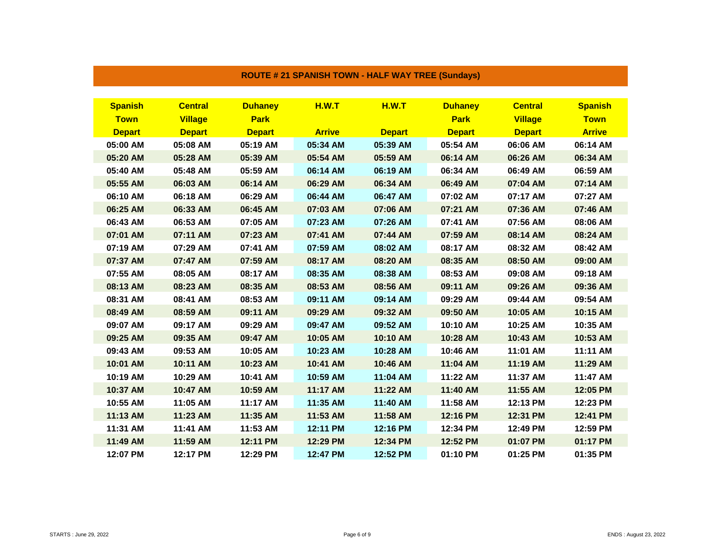| <b>Spanish</b> | <b>Central</b> | <b>Duhaney</b> | H.W.T         | H.W.T         | <b>Duhaney</b> | <b>Central</b> | <b>Spanish</b> |
|----------------|----------------|----------------|---------------|---------------|----------------|----------------|----------------|
| <b>Town</b>    | <b>Village</b> | <b>Park</b>    |               |               | <b>Park</b>    | <b>Village</b> | <b>Town</b>    |
| <b>Depart</b>  | <b>Depart</b>  | <b>Depart</b>  | <b>Arrive</b> | <b>Depart</b> | <b>Depart</b>  | <b>Depart</b>  | <b>Arrive</b>  |
| 05:00 AM       | 05:08 AM       | 05:19 AM       | 05:34 AM      | 05:39 AM      | 05:54 AM       | 06:06 AM       | 06:14 AM       |
| 05:20 AM       | 05:28 AM       | 05:39 AM       | 05:54 AM      | 05:59 AM      | 06:14 AM       | 06:26 AM       | 06:34 AM       |
| 05:40 AM       | 05:48 AM       | 05:59 AM       | 06:14 AM      | 06:19 AM      | 06:34 AM       | 06:49 AM       | 06:59 AM       |
| 05:55 AM       | 06:03 AM       | 06:14 AM       | 06:29 AM      | 06:34 AM      | 06:49 AM       | 07:04 AM       | 07:14 AM       |
| 06:10 AM       | 06:18 AM       | 06:29 AM       | 06:44 AM      | 06:47 AM      | 07:02 AM       | 07:17 AM       | 07:27 AM       |
| 06:25 AM       | 06:33 AM       | 06:45 AM       | 07:03 AM      | 07:06 AM      | 07:21 AM       | 07:36 AM       | 07:46 AM       |
| 06:43 AM       | 06:53 AM       | 07:05 AM       | 07:23 AM      | 07:26 AM      | 07:41 AM       | 07:56 AM       | 08:06 AM       |
| 07:01 AM       | 07:11 AM       | 07:23 AM       | 07:41 AM      | 07:44 AM      | 07:59 AM       | 08:14 AM       | 08:24 AM       |
| 07:19 AM       | 07:29 AM       | 07:41 AM       | 07:59 AM      | 08:02 AM      | 08:17 AM       | 08:32 AM       | 08:42 AM       |
| 07:37 AM       | 07:47 AM       | 07:59 AM       | 08:17 AM      | 08:20 AM      | 08:35 AM       | 08:50 AM       | 09:00 AM       |
| 07:55 AM       | 08:05 AM       | 08:17 AM       | 08:35 AM      | 08:38 AM      | 08:53 AM       | 09:08 AM       | 09:18 AM       |
| 08:13 AM       | 08:23 AM       | 08:35 AM       | 08:53 AM      | 08:56 AM      | 09:11 AM       | 09:26 AM       | 09:36 AM       |
| 08:31 AM       | 08:41 AM       | 08:53 AM       | 09:11 AM      | 09:14 AM      | 09:29 AM       | 09:44 AM       | 09:54 AM       |
| 08:49 AM       | 08:59 AM       | 09:11 AM       | 09:29 AM      | 09:32 AM      | 09:50 AM       | 10:05 AM       | 10:15 AM       |
| 09:07 AM       | 09:17 AM       | 09:29 AM       | 09:47 AM      | 09:52 AM      | 10:10 AM       | 10:25 AM       | 10:35 AM       |
| 09:25 AM       | 09:35 AM       | 09:47 AM       | 10:05 AM      | 10:10 AM      | 10:28 AM       | 10:43 AM       | 10:53 AM       |
| 09:43 AM       | 09:53 AM       | 10:05 AM       | 10:23 AM      | 10:28 AM      | 10:46 AM       | 11:01 AM       | 11:11 AM       |
| 10:01 AM       | 10:11 AM       | 10:23 AM       | 10:41 AM      | 10:46 AM      | 11:04 AM       | 11:19 AM       | 11:29 AM       |
| 10:19 AM       | 10:29 AM       | 10:41 AM       | 10:59 AM      | 11:04 AM      | 11:22 AM       | 11:37 AM       | 11:47 AM       |
| 10:37 AM       | 10:47 AM       | 10:59 AM       | 11:17 AM      | 11:22 AM      | 11:40 AM       | 11:55 AM       | 12:05 PM       |
| 10:55 AM       | 11:05 AM       | 11:17 AM       | 11:35 AM      | 11:40 AM      | 11:58 AM       | 12:13 PM       | 12:23 PM       |
| 11:13 AM       | 11:23 AM       | 11:35 AM       | 11:53 AM      | 11:58 AM      | 12:16 PM       | 12:31 PM       | 12:41 PM       |
| 11:31 AM       | 11:41 AM       | 11:53 AM       | 12:11 PM      | 12:16 PM      | 12:34 PM       | 12:49 PM       | 12:59 PM       |
| 11:49 AM       | 11:59 AM       | 12:11 PM       | 12:29 PM      | 12:34 PM      | 12:52 PM       | 01:07 PM       | 01:17 PM       |
| 12:07 PM       | 12:17 PM       | 12:29 PM       | 12:47 PM      | 12:52 PM      | 01:10 PM       | 01:25 PM       | 01:35 PM       |

## **ROUTE # 21 SPANISH TOWN - HALF WAY TREE (Sundays)**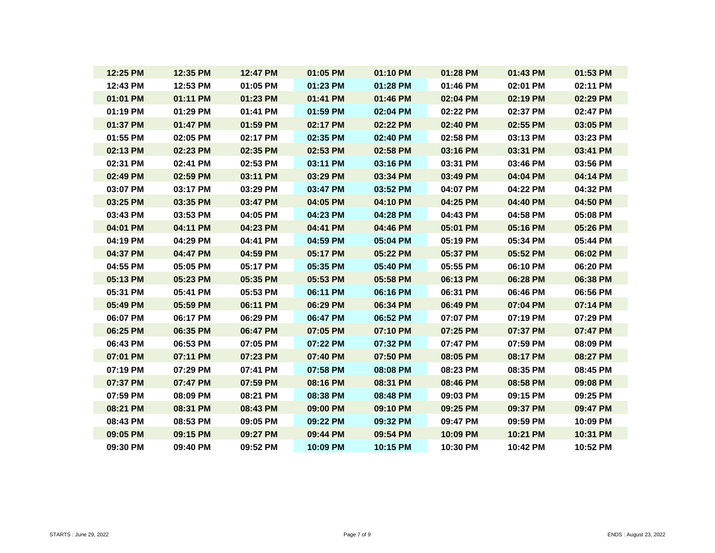| 12:25 PM | 12:35 PM | 12:47 PM | 01:05 PM | 01:10 PM | 01:28 PM | 01:43 PM | 01:53 PM |
|----------|----------|----------|----------|----------|----------|----------|----------|
| 12:43 PM | 12:53 PM | 01:05 PM | 01:23 PM | 01:28 PM | 01:46 PM | 02:01 PM | 02:11 PM |
| 01:01 PM | 01:11 PM | 01:23 PM | 01:41 PM | 01:46 PM | 02:04 PM | 02:19 PM | 02:29 PM |
| 01:19 PM | 01:29 PM | 01:41 PM | 01:59 PM | 02:04 PM | 02:22 PM | 02:37 PM | 02:47 PM |
| 01:37 PM | 01:47 PM | 01:59 PM | 02:17 PM | 02:22 PM | 02:40 PM | 02:55 PM | 03:05 PM |
| 01:55 PM | 02:05 PM | 02:17 PM | 02:35 PM | 02:40 PM | 02:58 PM | 03:13 PM | 03:23 PM |
| 02:13 PM | 02:23 PM | 02:35 PM | 02:53 PM | 02:58 PM | 03:16 PM | 03:31 PM | 03:41 PM |
| 02:31 PM | 02:41 PM | 02:53 PM | 03:11 PM | 03:16 PM | 03:31 PM | 03:46 PM | 03:56 PM |
| 02:49 PM | 02:59 PM | 03:11 PM | 03:29 PM | 03:34 PM | 03:49 PM | 04:04 PM | 04:14 PM |
| 03:07 PM | 03:17 PM | 03:29 PM | 03:47 PM | 03:52 PM | 04:07 PM | 04:22 PM | 04:32 PM |
| 03:25 PM | 03:35 PM | 03:47 PM | 04:05 PM | 04:10 PM | 04:25 PM | 04:40 PM | 04:50 PM |
| 03:43 PM | 03:53 PM | 04:05 PM | 04:23 PM | 04:28 PM | 04:43 PM | 04:58 PM | 05:08 PM |
| 04:01 PM | 04:11 PM | 04:23 PM | 04:41 PM | 04:46 PM | 05:01 PM | 05:16 PM | 05:26 PM |
| 04:19 PM | 04:29 PM | 04:41 PM | 04:59 PM | 05:04 PM | 05:19 PM | 05:34 PM | 05:44 PM |
| 04:37 PM | 04:47 PM | 04:59 PM | 05:17 PM | 05:22 PM | 05:37 PM | 05:52 PM | 06:02 PM |
| 04:55 PM | 05:05 PM | 05:17 PM | 05:35 PM | 05:40 PM | 05:55 PM | 06:10 PM | 06:20 PM |
| 05:13 PM | 05:23 PM | 05:35 PM | 05:53 PM | 05:58 PM | 06:13 PM | 06:28 PM | 06:38 PM |
| 05:31 PM | 05:41 PM | 05:53 PM | 06:11 PM | 06:16 PM | 06:31 PM | 06:46 PM | 06:56 PM |
| 05:49 PM | 05:59 PM | 06:11 PM | 06:29 PM | 06:34 PM | 06:49 PM | 07:04 PM | 07:14 PM |
| 06:07 PM | 06:17 PM | 06:29 PM | 06:47 PM | 06:52 PM | 07:07 PM | 07:19 PM | 07:29 PM |
| 06:25 PM | 06:35 PM | 06:47 PM | 07:05 PM | 07:10 PM | 07:25 PM | 07:37 PM | 07:47 PM |
| 06:43 PM | 06:53 PM | 07:05 PM | 07:22 PM | 07:32 PM | 07:47 PM | 07:59 PM | 08:09 PM |
| 07:01 PM | 07:11 PM | 07:23 PM | 07:40 PM | 07:50 PM | 08:05 PM | 08:17 PM | 08:27 PM |
| 07:19 PM | 07:29 PM | 07:41 PM | 07:58 PM | 08:08 PM | 08:23 PM | 08:35 PM | 08:45 PM |
| 07:37 PM | 07:47 PM | 07:59 PM | 08:16 PM | 08:31 PM | 08:46 PM | 08:58 PM | 09:08 PM |
| 07:59 PM | 08:09 PM | 08:21 PM | 08:38 PM | 08:48 PM | 09:03 PM | 09:15 PM | 09:25 PM |
| 08:21 PM | 08:31 PM | 08:43 PM | 09:00 PM | 09:10 PM | 09:25 PM | 09:37 PM | 09:47 PM |
| 08:43 PM | 08:53 PM | 09:05 PM | 09:22 PM | 09:32 PM | 09:47 PM | 09:59 PM | 10:09 PM |
| 09:05 PM | 09:15 PM | 09:27 PM | 09:44 PM | 09:54 PM | 10:09 PM | 10:21 PM | 10:31 PM |
| 09:30 PM | 09:40 PM | 09:52 PM | 10:09 PM | 10:15 PM | 10:30 PM | 10:42 PM | 10:52 PM |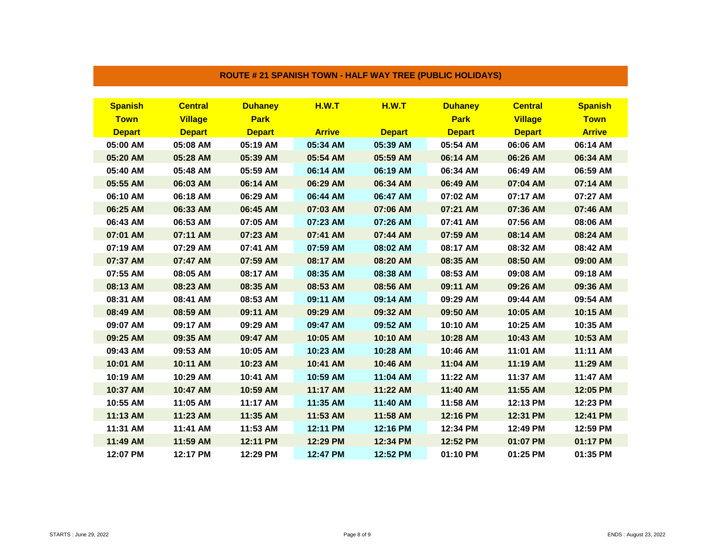| <b>Spanish</b> | <b>Central</b> | <b>Duhaney</b> | <b>H.W.T</b>  | <b>H.W.T</b>  | <b>Duhaney</b> | <b>Central</b> | <b>Spanish</b> |
|----------------|----------------|----------------|---------------|---------------|----------------|----------------|----------------|
| <b>Town</b>    | <b>Village</b> | <b>Park</b>    |               |               | <b>Park</b>    | <b>Village</b> | <b>Town</b>    |
| <b>Depart</b>  | <b>Depart</b>  | <b>Depart</b>  | <b>Arrive</b> | <b>Depart</b> | <b>Depart</b>  | <b>Depart</b>  | <b>Arrive</b>  |
| 05:00 AM       | 05:08 AM       | 05:19 AM       | 05:34 AM      | 05:39 AM      | 05:54 AM       | 06:06 AM       | 06:14 AM       |
| 05:20 AM       | 05:28 AM       | 05:39 AM       | 05:54 AM      | 05:59 AM      | 06:14 AM       | 06:26 AM       | 06:34 AM       |
| 05:40 AM       | 05:48 AM       | 05:59 AM       | 06:14 AM      | 06:19 AM      | 06:34 AM       | 06:49 AM       | 06:59 AM       |
| 05:55 AM       | 06:03 AM       | 06:14 AM       | 06:29 AM      | 06:34 AM      | 06:49 AM       | 07:04 AM       | 07:14 AM       |
| 06:10 AM       | 06:18 AM       | 06:29 AM       | 06:44 AM      | 06:47 AM      | 07:02 AM       | 07:17 AM       | 07:27 AM       |
| 06:25 AM       | 06:33 AM       | 06:45 AM       | 07:03 AM      | 07:06 AM      | 07:21 AM       | 07:36 AM       | 07:46 AM       |
| 06:43 AM       | 06:53 AM       | 07:05 AM       | 07:23 AM      | 07:26 AM      | 07:41 AM       | 07:56 AM       | 08:06 AM       |
| 07:01 AM       | 07:11 AM       | 07:23 AM       | 07:41 AM      | 07:44 AM      | 07:59 AM       | 08:14 AM       | 08:24 AM       |
| 07:19 AM       | 07:29 AM       | 07:41 AM       | 07:59 AM      | 08:02 AM      | 08:17 AM       | 08:32 AM       | 08:42 AM       |
| 07:37 AM       | 07:47 AM       | 07:59 AM       | 08:17 AM      | 08:20 AM      | 08:35 AM       | 08:50 AM       | 09:00 AM       |
| 07:55 AM       | 08:05 AM       | 08:17 AM       | 08:35 AM      | 08:38 AM      | 08:53 AM       | 09:08 AM       | 09:18 AM       |
| 08:13 AM       | 08:23 AM       | 08:35 AM       | 08:53 AM      | 08:56 AM      | 09:11 AM       | 09:26 AM       | 09:36 AM       |
| 08:31 AM       | 08:41 AM       | 08:53 AM       | 09:11 AM      | 09:14 AM      | 09:29 AM       | 09:44 AM       | 09:54 AM       |
| 08:49 AM       | 08:59 AM       | 09:11 AM       | 09:29 AM      | 09:32 AM      | 09:50 AM       | 10:05 AM       | 10:15 AM       |
| 09:07 AM       | 09:17 AM       | 09:29 AM       | 09:47 AM      | 09:52 AM      | 10:10 AM       | 10:25 AM       | 10:35 AM       |
| 09:25 AM       | 09:35 AM       | 09:47 AM       | 10:05 AM      | 10:10 AM      | 10:28 AM       | 10:43 AM       | 10:53 AM       |
| 09:43 AM       | 09:53 AM       | 10:05 AM       | 10:23 AM      | 10:28 AM      | 10:46 AM       | 11:01 AM       | 11:11 AM       |
| 10:01 AM       | 10:11 AM       | 10:23 AM       | 10:41 AM      | 10:46 AM      | 11:04 AM       | 11:19 AM       | 11:29 AM       |
| 10:19 AM       | 10:29 AM       | 10:41 AM       | 10:59 AM      | 11:04 AM      | 11:22 AM       | 11:37 AM       | 11:47 AM       |
| 10:37 AM       | 10:47 AM       | 10:59 AM       | 11:17 AM      | 11:22 AM      | 11:40 AM       | 11:55 AM       | 12:05 PM       |
| 10:55 AM       | 11:05 AM       | 11:17 AM       | 11:35 AM      | 11:40 AM      | 11:58 AM       | 12:13 PM       | 12:23 PM       |
| 11:13 AM       | 11:23 AM       | 11:35 AM       | 11:53 AM      | 11:58 AM      | 12:16 PM       | 12:31 PM       | 12:41 PM       |
| 11:31 AM       | 11:41 AM       | 11:53 AM       | 12:11 PM      | 12:16 PM      | 12:34 PM       | 12:49 PM       | 12:59 PM       |
| 11:49 AM       | 11:59 AM       | 12:11 PM       | 12:29 PM      | 12:34 PM      | 12:52 PM       | 01:07 PM       | 01:17 PM       |
| 12:07 PM       | 12:17 PM       | 12:29 PM       | 12:47 PM      | 12:52 PM      | 01:10 PM       | 01:25 PM       | 01:35 PM       |

## **ROUTE # 21 SPANISH TOWN - HALF WAY TREE (PUBLIC HOLIDAYS)**